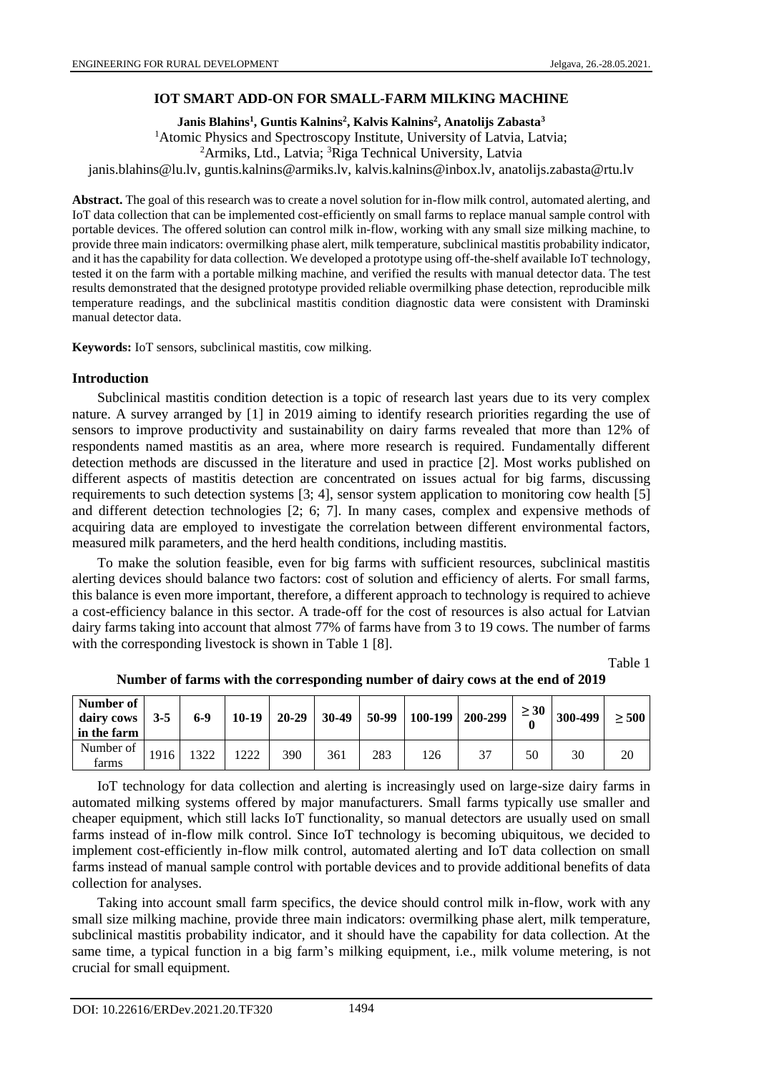#### **IOT SMART ADD-ON FOR SMALL-FARM MILKING MACHINE**

**Janis Blahins<sup>1</sup> , Guntis Kalnins<sup>2</sup> , Kalvis Kalnins<sup>2</sup> , Anatolijs Zabasta<sup>3</sup>**

<sup>1</sup>Atomic Physics and Spectroscopy Institute, University of Latvia, Latvia; <sup>2</sup>Armiks, Ltd., Latvia; <sup>3</sup>Riga Technical University, Latvia janis.blahins@lu.lv, guntis.kalnins@armiks.lv, kalvis.kalnins@inbox.lv, anatolijs.zabasta@rtu.lv

**Abstract.** The goal of this research was to create a novel solution for in-flow milk control, automated alerting, and IoT data collection that can be implemented cost-efficiently on small farms to replace manual sample control with portable devices. The offered solution can control milk in-flow, working with any small size milking machine, to provide three main indicators: overmilking phase alert, milk temperature, subclinical mastitis probability indicator, and it has the capability for data collection. We developed a prototype using off-the-shelf available IoT technology, tested it on the farm with a portable milking machine, and verified the results with manual detector data. The test results demonstrated that the designed prototype provided reliable overmilking phase detection, reproducible milk temperature readings, and the subclinical mastitis condition diagnostic data were consistent with Draminski manual detector data.

**Keywords:** IoT sensors, subclinical mastitis, cow milking.

#### **Introduction**

Subclinical mastitis condition detection is a topic of research last years due to its very complex nature. A survey arranged by [\[1\]](#page-6-0) in 2019 aiming to identify research priorities regarding the use of sensors to improve productivity and sustainability on dairy farms revealed that more than 12% of respondents named mastitis as an area, where more research is required. Fundamentally different detection methods are discussed in the literature and used in practice [\[2\].](#page-6-1) Most works published on different aspects of mastitis detection are concentrated on issues actual for big farms, discussing requirements to such detection systems [3; 4], sensor system application to monitoring cow health [\[5\]](#page-6-2) and different detection technologies [2; 6; 7]. In many cases, complex and expensive methods of acquiring data are employed to investigate the correlation between different environmental factors, measured milk parameters, and the herd health conditions, including mastitis.

To make the solution feasible, even for big farms with sufficient resources, subclinical mastitis alerting devices should balance two factors: cost of solution and efficiency of alerts. For small farms, this balance is even more important, therefore, a different approach to technology is required to achieve a cost-efficiency balance in this sector. A trade-off for the cost of resources is also actual for Latvian dairy farms taking into account that almost 77% of farms have from 3 to 19 cows. The number of farms with the corresponding livestock is shown in Table 1 [\[8\].](#page-6-3)

Table 1

| Number of<br>dairy cows<br>in the farm | $3 - 5$ | $6-9$ | $10-19$ | $20 - 29$ | $30-49$ | $50-99$ | $100-199$   200-299 | $\geq 30$ | 300-499 | $\geq 500$ |
|----------------------------------------|---------|-------|---------|-----------|---------|---------|---------------------|-----------|---------|------------|
| Number of<br>farms                     | 1916    | 1322  | 1222    | 390       | 361     | 283     | 37                  | 50        | 30      | 20         |

**Number of farms with the corresponding number of dairy cows at the end of 2019**

IoT technology for data collection and alerting is increasingly used on large-size dairy farms in automated milking systems offered by major manufacturers. Small farms typically use smaller and cheaper equipment, which still lacks IoT functionality, so manual detectors are usually used on small farms instead of in-flow milk control. Since IoT technology is becoming ubiquitous, we decided to implement cost-efficiently in-flow milk control, automated alerting and IoT data collection on small farms instead of manual sample control with portable devices and to provide additional benefits of data collection for analyses.

Taking into account small farm specifics, the device should control milk in-flow, work with any small size milking machine, provide three main indicators: overmilking phase alert, milk temperature, subclinical mastitis probability indicator, and it should have the capability for data collection. At the same time, a typical function in a big farm's milking equipment, i.e., milk volume metering, is not crucial for small equipment.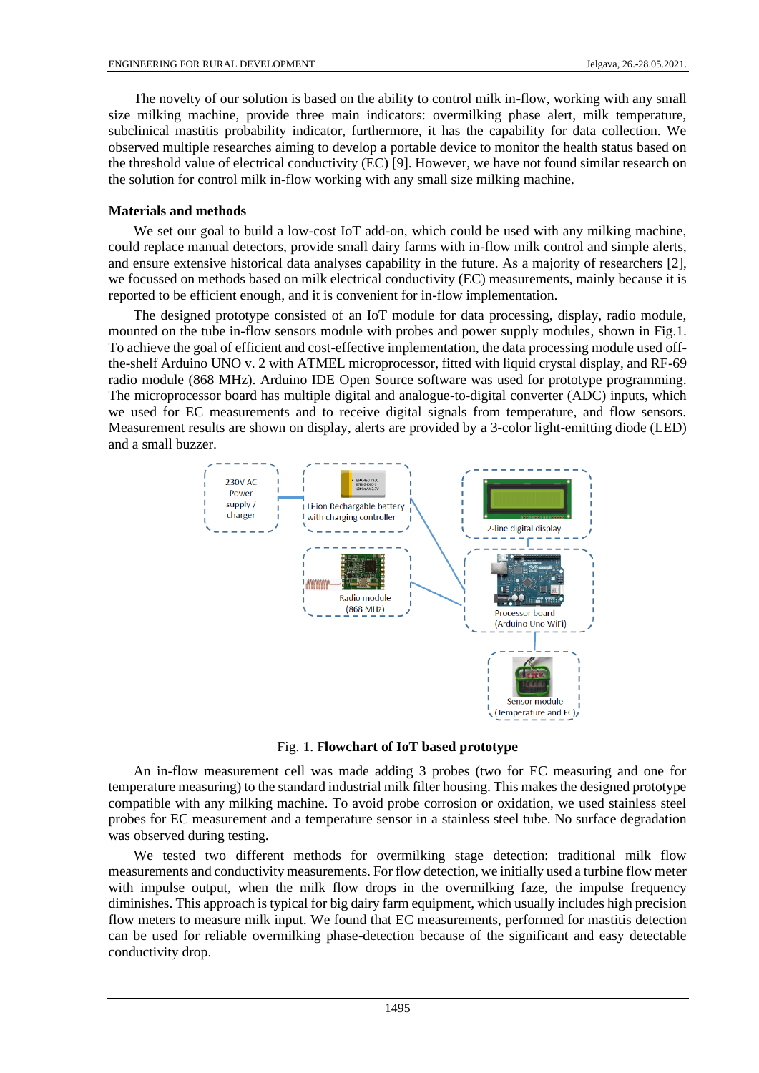The novelty of our solution is based on the ability to control milk in-flow, working with any small size milking machine, provide three main indicators: overmilking phase alert, milk temperature, subclinical mastitis probability indicator, furthermore, it has the capability for data collection. We observed multiple researches aiming to develop a portable device to monitor the health status based on the threshold value of electrical conductivity (EC) [\[9\].](#page-6-4) However, we have not found similar research on the solution for control milk in-flow working with any small size milking machine.

# **Materials and methods**

We set our goal to build a low-cost IoT add-on, which could be used with any milking machine. could replace manual detectors, provide small dairy farms with in-flow milk control and simple alerts, and ensure extensive historical data analyses capability in the future. As a majority of researchers [\[2\],](#page-6-1) we focussed on methods based on milk electrical conductivity (EC) measurements, mainly because it is reported to be efficient enough, and it is convenient for in-flow implementation.

The designed prototype consisted of an IoT module for data processing, display, radio module, mounted on the tube in-flow sensors module with probes and power supply modules, shown in Fig.1. To achieve the goal of efficient and cost-effective implementation, the data processing module used offthe-shelf Arduino UNO v. 2 with ATMEL microprocessor, fitted with liquid crystal display, and RF-69 radio module (868 MHz). Arduino IDE Open Source software was used for prototype programming. The microprocessor board has multiple digital and analogue-to-digital converter (ADC) inputs, which we used for EC measurements and to receive digital signals from temperature, and flow sensors. Measurement results are shown on display, alerts are provided by a 3-color light-emitting diode (LED) and a small buzzer.



Fig. 1. F**lowchart of IoT based prototype**

An in-flow measurement cell was made adding 3 probes (two for EC measuring and one for temperature measuring) to the standard industrial milk filter housing. This makes the designed prototype compatible with any milking machine. To avoid probe corrosion or oxidation, we used stainless steel probes for EC measurement and a temperature sensor in a stainless steel tube. No surface degradation was observed during testing.

We tested two different methods for overmilking stage detection: traditional milk flow measurements and conductivity measurements. For flow detection, we initially used a turbine flow meter with impulse output, when the milk flow drops in the overmilking faze, the impulse frequency diminishes. This approach is typical for big dairy farm equipment, which usually includes high precision flow meters to measure milk input. We found that EC measurements, performed for mastitis detection can be used for reliable overmilking phase-detection because of the significant and easy detectable conductivity drop.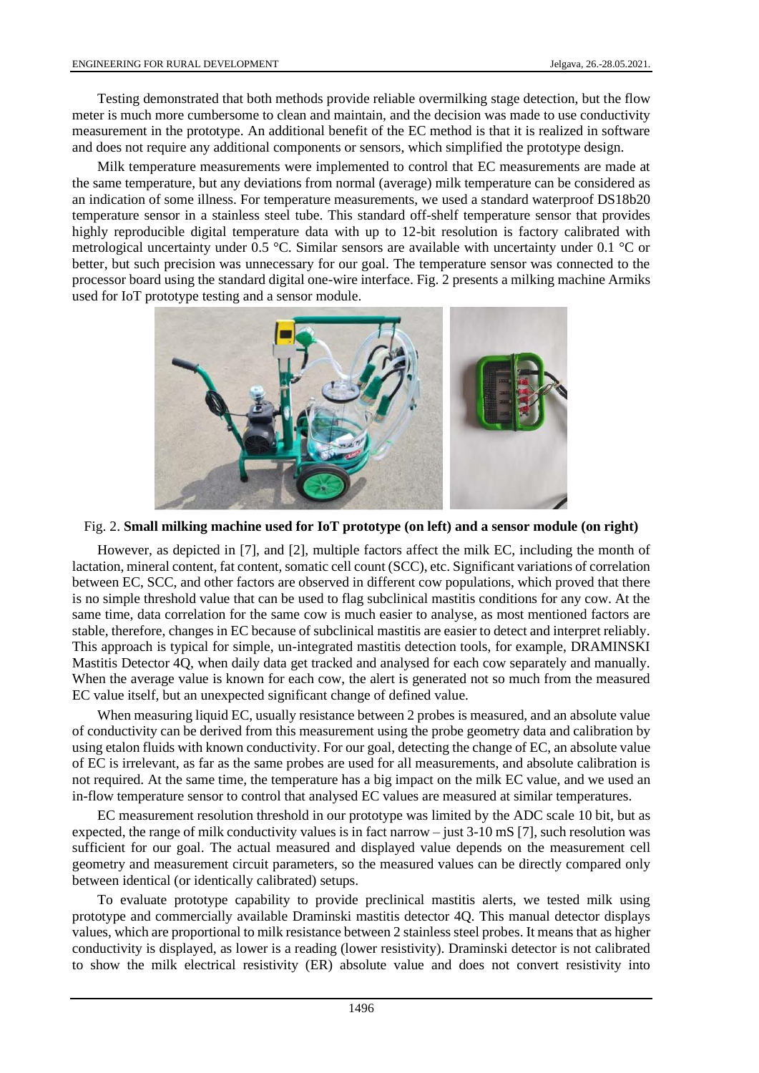Testing demonstrated that both methods provide reliable overmilking stage detection, but the flow meter is much more cumbersome to clean and maintain, and the decision was made to use conductivity measurement in the prototype. An additional benefit of the EC method is that it is realized in software and does not require any additional components or sensors, which simplified the prototype design.

Milk temperature measurements were implemented to control that EC measurements are made at the same temperature, but any deviations from normal (average) milk temperature can be considered as an indication of some illness. For temperature measurements, we used a standard waterproof DS18b20 temperature sensor in a stainless steel tube. This standard off-shelf temperature sensor that provides highly reproducible digital temperature data with up to 12-bit resolution is factory calibrated with metrological uncertainty under 0.5 °C. Similar sensors are available with uncertainty under 0.1 °C or better, but such precision was unnecessary for our goal. The temperature sensor was connected to the processor board using the standard digital one-wire interface. Fig. 2 presents a milking machine Armiks used for IoT prototype testing and a sensor module.



Fig. 2. **Small milking machine used for IoT prototype (on left) and a sensor module (on right)**

However, as depicted in [\[7\],](#page-6-5) and [\[2\],](#page-6-1) multiple factors affect the milk EC, including the month of lactation, mineral content, fat content, somatic cell count (SCC), etc. Significant variations of correlation between EC, SCC, and other factors are observed in different cow populations, which proved that there is no simple threshold value that can be used to flag subclinical mastitis conditions for any cow. At the same time, data correlation for the same cow is much easier to analyse, as most mentioned factors are stable, therefore, changes in EC because of subclinical mastitis are easier to detect and interpret reliably. This approach is typical for simple, un-integrated mastitis detection tools, for example, DRAMINSKI Mastitis Detector 4Q, when daily data get tracked and analysed for each cow separately and manually. When the average value is known for each cow, the alert is generated not so much from the measured EC value itself, but an unexpected significant change of defined value.

When measuring liquid EC, usually resistance between 2 probes is measured, and an absolute value of conductivity can be derived from this measurement using the probe geometry data and calibration by using etalon fluids with known conductivity. For our goal, detecting the change of EC, an absolute value of EC is irrelevant, as far as the same probes are used for all measurements, and absolute calibration is not required. At the same time, the temperature has a big impact on the milk EC value, and we used an in-flow temperature sensor to control that analysed EC values are measured at similar temperatures.

EC measurement resolution threshold in our prototype was limited by the ADC scale 10 bit, but as expected, the range of milk conductivity values is in fact narrow – just 3-10 mS [\[7\],](#page-6-5) such resolution was sufficient for our goal. The actual measured and displayed value depends on the measurement cell geometry and measurement circuit parameters, so the measured values can be directly compared only between identical (or identically calibrated) setups.

To evaluate prototype capability to provide preclinical mastitis alerts, we tested milk using prototype and commercially available Draminski mastitis detector 4Q. This manual detector displays values, which are proportional to milk resistance between 2 stainless steel probes. It means that as higher conductivity is displayed, as lower is a reading (lower resistivity). Draminski detector is not calibrated to show the milk electrical resistivity (ER) absolute value and does not convert resistivity into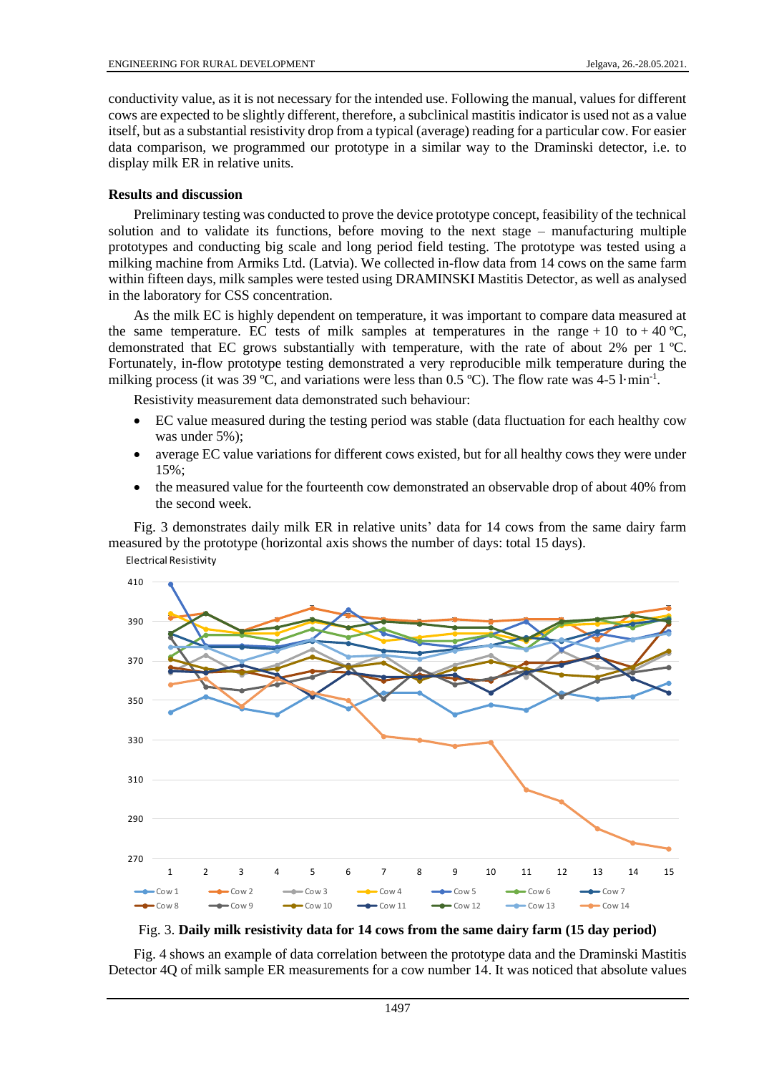conductivity value, as it is not necessary for the intended use. Following the manual, values for different cows are expected to be slightly different, therefore, a subclinical mastitis indicator is used not as a value itself, but as a substantial resistivity drop from a typical (average) reading for a particular cow. For easier data comparison, we programmed our prototype in a similar way to the Draminski detector, i.e. to display milk ER in relative units.

#### **Results and discussion**

Preliminary testing was conducted to prove the device prototype concept, feasibility of the technical solution and to validate its functions, before moving to the next stage – manufacturing multiple prototypes and conducting big scale and long period field testing. The prototype was tested using a milking machine from Armiks Ltd. (Latvia). We collected in-flow data from 14 cows on the same farm within fifteen days, milk samples were tested using DRAMINSKI Mastitis Detector, as well as analysed in the laboratory for CSS concentration.

As the milk EC is highly dependent on temperature, it was important to compare data measured at the same temperature. EC tests of milk samples at temperatures in the range + 10 to + 40 °C, demonstrated that EC grows substantially with temperature, with the rate of about 2% per 1 ºC. Fortunately, in-flow prototype testing demonstrated a very reproducible milk temperature during the milking process (it was 39 °C, and variations were less than  $0.5$  °C). The flow rate was 4-5 l·min<sup>-1</sup>.

Resistivity measurement data demonstrated such behaviour:

- EC value measured during the testing period was stable (data fluctuation for each healthy cow was under 5%);
- average EC value variations for different cows existed, but for all healthy cows they were under 15%;
- the measured value for the fourteenth cow demonstrated an observable drop of about 40% from the second week.

Fig. 3 demonstrates daily milk ER in relative units' data for 14 cows from the same dairy farm measured by the prototype (horizontal axis shows the number of days: total 15 days).







Fig. 4 shows an example of data correlation between the prototype data and the Draminski Mastitis Detector 4Q of milk sample ER measurements for a cow number 14. It was noticed that absolute values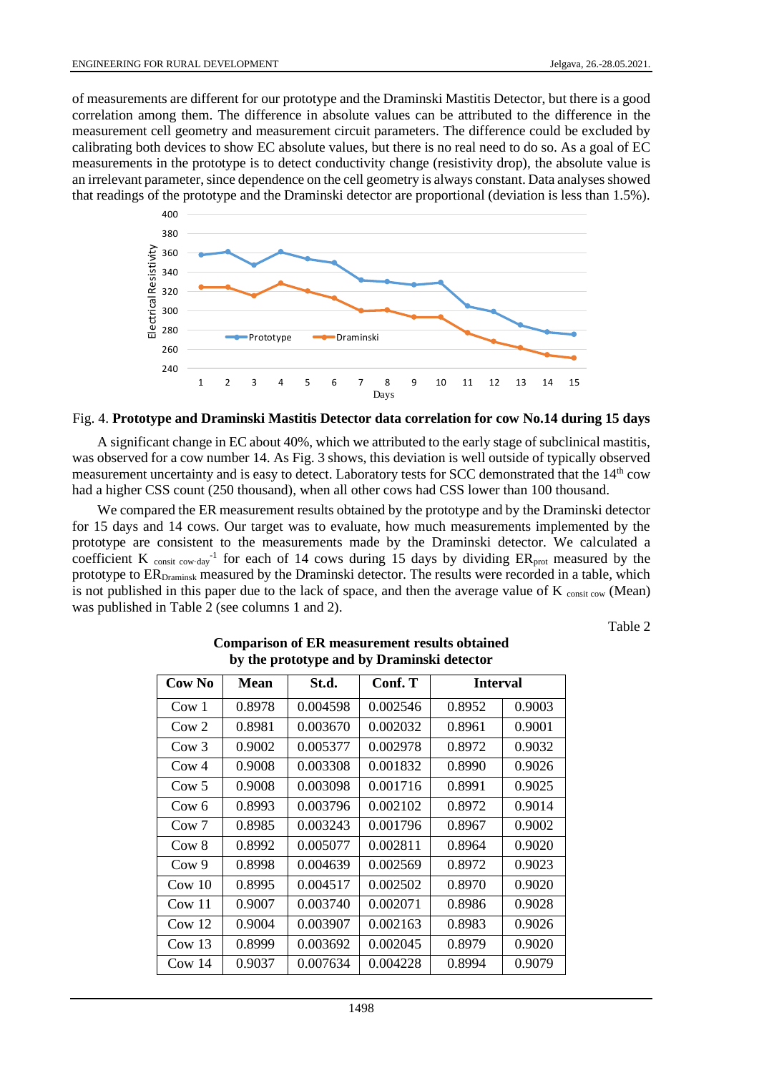of measurements are different for our prototype and the Draminski Mastitis Detector, but there is a good correlation among them. The difference in absolute values can be attributed to the difference in the measurement cell geometry and measurement circuit parameters. The difference could be excluded by calibrating both devices to show EC absolute values, but there is no real need to do so. As a goal of EC measurements in the prototype is to detect conductivity change (resistivity drop), the absolute value is an irrelevant parameter, since dependence on the cell geometry is always constant. Data analyses showed that readings of the prototype and the Draminski detector are proportional (deviation is less than 1.5%).



#### Fig. 4. **Prototype and Draminski Mastitis Detector data correlation for cow No.14 during 15 days**

A significant change in EC about 40%, which we attributed to the early stage of subclinical mastitis, was observed for a cow number 14. As Fig. 3 shows, this deviation is well outside of typically observed measurement uncertainty and is easy to detect. Laboratory tests for SCC demonstrated that the 14<sup>th</sup> cow had a higher CSS count (250 thousand), when all other cows had CSS lower than 100 thousand.

We compared the ER measurement results obtained by the prototype and by the Draminski detector for 15 days and 14 cows. Our target was to evaluate, how much measurements implemented by the prototype are consistent to the measurements made by the Draminski detector. We calculated a coefficient K consit cow-day<sup>-1</sup> for each of 14 cows during 15 days by dividing  $ER_{prot}$  measured by the prototype to ERDraminsk measured by the Draminski detector. The results were recorded in a table, which is not published in this paper due to the lack of space, and then the average value of  $K_{\text{const}}$  cow (Mean) was published in Table 2 (see columns 1 and 2).

Table 2

| Cow No             | Mean   | St.d.    | Conf. T  | <b>Interval</b> |        |  |
|--------------------|--------|----------|----------|-----------------|--------|--|
| Cow 1              | 0.8978 | 0.004598 | 0.002546 | 0.8952          | 0.9003 |  |
| C <sub>ow</sub> 2  | 0.8981 | 0.003670 | 0.002032 | 0.8961          | 0.9001 |  |
| Cow <sub>3</sub>   | 0.9002 | 0.005377 | 0.002978 | 0.8972          | 0.9032 |  |
| $C0$ av 4          | 0.9008 | 0.003308 | 0.001832 | 0.8990          | 0.9026 |  |
| C <sub>ow</sub> 5  | 0.9008 | 0.003098 | 0.001716 | 0.8991          | 0.9025 |  |
| Cow 6              | 0.8993 | 0.003796 | 0.002102 | 0.8972          | 0.9014 |  |
| Cow <sub>7</sub>   | 0.8985 | 0.003243 | 0.001796 | 0.8967          | 0.9002 |  |
| Cow 8              | 0.8992 | 0.005077 | 0.002811 | 0.8964          | 0.9020 |  |
| C <sub>ow</sub> 9  | 0.8998 | 0.004639 | 0.002569 | 0.8972          | 0.9023 |  |
| $\text{Cow } 10$   | 0.8995 | 0.004517 | 0.002502 | 0.8970          | 0.9020 |  |
| $\text{Cow } 11$   | 0.9007 | 0.003740 | 0.002071 | 0.8986          | 0.9028 |  |
| C <sub>ow</sub> 12 | 0.9004 | 0.003907 | 0.002163 | 0.8983          | 0.9026 |  |
| Cow13              | 0.8999 | 0.003692 | 0.002045 | 0.8979          | 0.9020 |  |
| C <sub>ow</sub> 14 | 0.9037 | 0.007634 | 0.004228 | 0.8994          | 0.9079 |  |

# **Comparison of ER measurement results obtained by the prototype and by Draminski detector**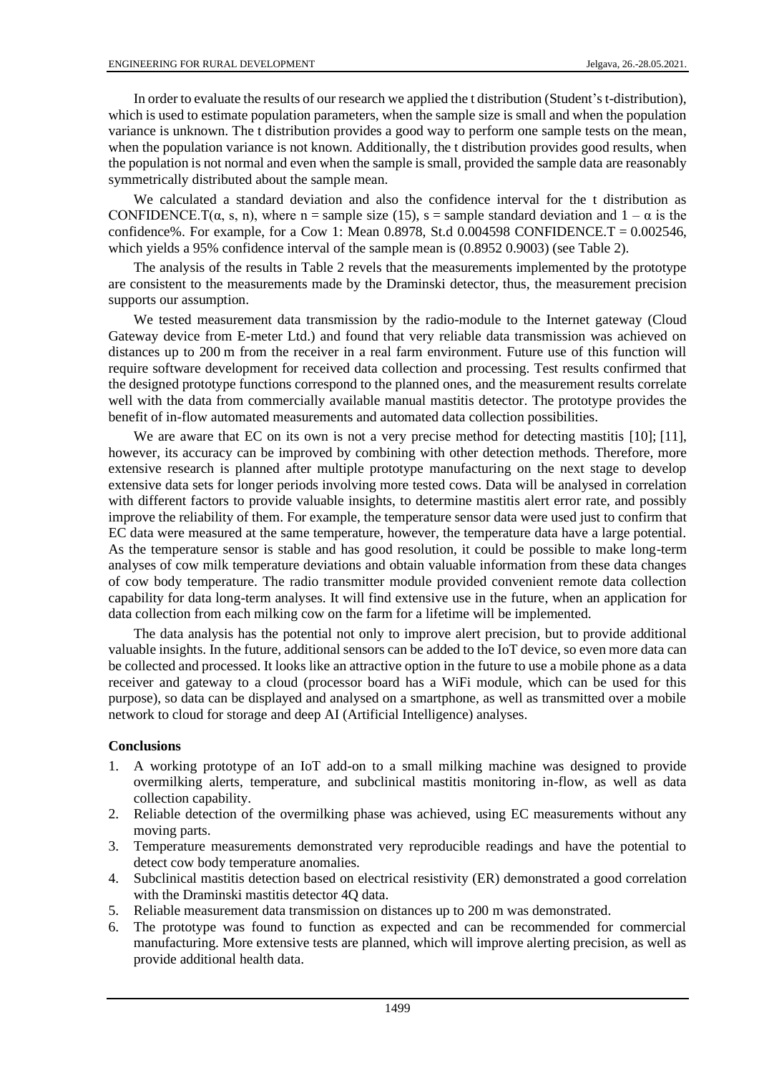In order to evaluate the results of our research we applied the t distribution (Student's t-distribution), which is used to estimate population parameters, when the sample size is small and when the population variance is unknown. The t distribution provides a good way to perform one sample tests on the mean, when the population variance is not known. Additionally, the t distribution provides good results, when the population is not normal and even when the sample is small, provided the sample data are reasonably symmetrically distributed about the sample mean.

We calculated a standard deviation and also the confidence interval for the t distribution as CONFIDENCE.T( $\alpha$ , s, n), where n = sample size (15), s = sample standard deviation and  $1 - \alpha$  is the confidence%. For example, for a Cow 1: Mean  $0.8978$ , St.d  $0.004598$  CONFIDENCE.T =  $0.002546$ , which yields a 95% confidence interval of the sample mean is (0.8952 0.9003) (see Table 2).

The analysis of the results in Table 2 revels that the measurements implemented by the prototype are consistent to the measurements made by the Draminski detector, thus, the measurement precision supports our assumption.

We tested measurement data transmission by the radio-module to the Internet gateway (Cloud Gateway device from E-meter Ltd.) and found that very reliable data transmission was achieved on distances up to 200 m from the receiver in a real farm environment. Future use of this function will require software development for received data collection and processing. Test results confirmed that the designed prototype functions correspond to the planned ones, and the measurement results correlate well with the data from commercially available manual mastitis detector. The prototype provides the benefit of in-flow automated measurements and automated data collection possibilities.

We are aware that EC on its own is not a very precise method for detecting mastitis [\[10\];](#page-6-6) [\[11\],](#page-6-7) however, its accuracy can be improved by combining with other detection methods. Therefore, more extensive research is planned after multiple prototype manufacturing on the next stage to develop extensive data sets for longer periods involving more tested cows. Data will be analysed in correlation with different factors to provide valuable insights, to determine mastitis alert error rate, and possibly improve the reliability of them. For example, the temperature sensor data were used just to confirm that EC data were measured at the same temperature, however, the temperature data have a large potential. As the temperature sensor is stable and has good resolution, it could be possible to make long-term analyses of cow milk temperature deviations and obtain valuable information from these data changes of cow body temperature. The radio transmitter module provided convenient remote data collection capability for data long-term analyses. It will find extensive use in the future, when an application for data collection from each milking cow on the farm for a lifetime will be implemented.

The data analysis has the potential not only to improve alert precision, but to provide additional valuable insights. In the future, additional sensors can be added to the IoT device, so even more data can be collected and processed. It looks like an attractive option in the future to use a mobile phone as a data receiver and gateway to a cloud (processor board has a WiFi module, which can be used for this purpose), so data can be displayed and analysed on a smartphone, as well as transmitted over a mobile network to cloud for storage and deep AI (Artificial Intelligence) analyses.

### **Conclusions**

- 1. A working prototype of an IoT add-on to a small milking machine was designed to provide overmilking alerts, temperature, and subclinical mastitis monitoring in-flow, as well as data collection capability.
- 2. Reliable detection of the overmilking phase was achieved, using EC measurements without any moving parts.
- 3. Temperature measurements demonstrated very reproducible readings and have the potential to detect cow body temperature anomalies.
- 4. Subclinical mastitis detection based on electrical resistivity (ER) demonstrated a good correlation with the Draminski mastitis detector 4Q data.
- 5. Reliable measurement data transmission on distances up to 200 m was demonstrated.
- 6. The prototype was found to function as expected and can be recommended for commercial manufacturing. More extensive tests are planned, which will improve alerting precision, as well as provide additional health data.